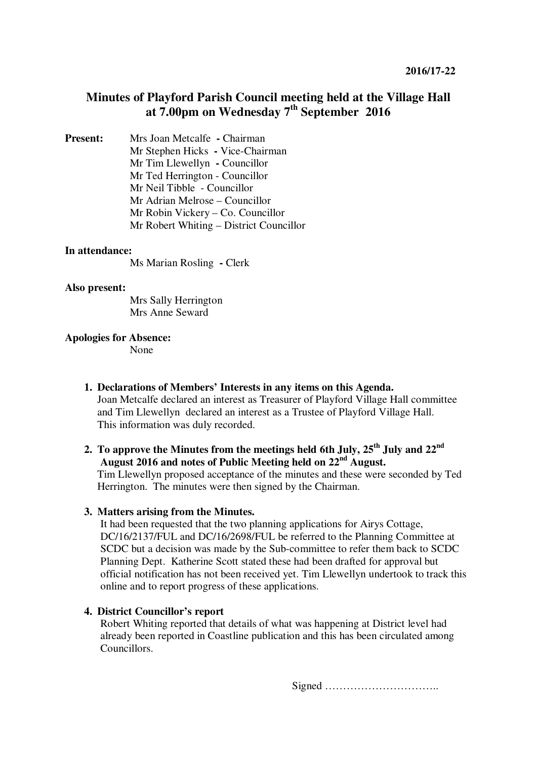# **Minutes of Playford Parish Council meeting held at the Village Hall at 7.00pm on Wednesday 7th September 2016**

**Present:** Mrs Joan Metcalfe **- Chairman** Mr Stephen Hicks **-** Vice-Chairman Mr Tim Llewellyn **-** Councillor Mr Ted Herrington - Councillor Mr Neil Tibble - Councillor Mr Adrian Melrose – Councillor Mr Robin Vickery – Co. Councillor Mr Robert Whiting – District Councillor

#### **In attendance:**

Ms Marian Rosling **-** Clerk

#### **Also present:**

 Mrs Sally Herrington Mrs Anne Seward

#### **Apologies for Absence:**

None

**1. Declarations of Members' Interests in any items on this Agenda.** 

Joan Metcalfe declared an interest as Treasurer of Playford Village Hall committee and Tim Llewellyn declared an interest as a Trustee of Playford Village Hall. This information was duly recorded.

# **2. To approve the Minutes from the meetings held 6th July, 25th July and 22nd August 2016 and notes of Public Meeting held on 22nd August.**

Tim Llewellyn proposed acceptance of the minutes and these were seconded by Ted Herrington. The minutes were then signed by the Chairman.

#### **3. Matters arising from the Minutes.**

It had been requested that the two planning applications for Airys Cottage, DC/16/2137/FUL and DC/16/2698/FUL be referred to the Planning Committee at SCDC but a decision was made by the Sub-committee to refer them back to SCDC Planning Dept. Katherine Scott stated these had been drafted for approval but official notification has not been received yet. Tim Llewellyn undertook to track this online and to report progress of these applications.

### **4. District Councillor's report**

Robert Whiting reported that details of what was happening at District level had already been reported in Coastline publication and this has been circulated among Councillors.

Signed …………………………..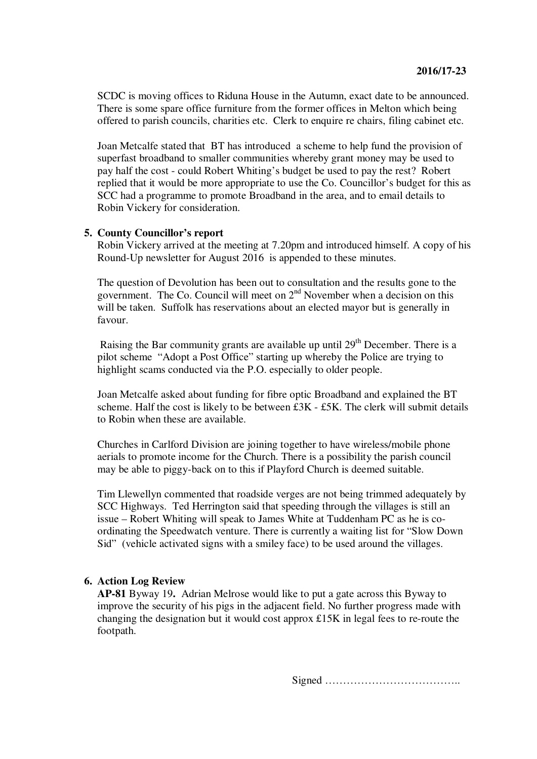SCDC is moving offices to Riduna House in the Autumn, exact date to be announced. There is some spare office furniture from the former offices in Melton which being offered to parish councils, charities etc. Clerk to enquire re chairs, filing cabinet etc.

Joan Metcalfe stated that BT has introduced a scheme to help fund the provision of superfast broadband to smaller communities whereby grant money may be used to pay half the cost - could Robert Whiting's budget be used to pay the rest? Robert replied that it would be more appropriate to use the Co. Councillor's budget for this as SCC had a programme to promote Broadband in the area, and to email details to Robin Vickery for consideration.

### **5. County Councillor's report**

Robin Vickery arrived at the meeting at 7.20pm and introduced himself. A copy of his Round-Up newsletter for August 2016 is appended to these minutes.

The question of Devolution has been out to consultation and the results gone to the government. The Co. Council will meet on  $2<sup>nd</sup>$  November when a decision on this will be taken. Suffolk has reservations about an elected mayor but is generally in favour.

Raising the Bar community grants are available up until  $29<sup>th</sup>$  December. There is a pilot scheme "Adopt a Post Office" starting up whereby the Police are trying to highlight scams conducted via the P.O. especially to older people.

Joan Metcalfe asked about funding for fibre optic Broadband and explained the BT scheme. Half the cost is likely to be between £3K - £5K. The clerk will submit details to Robin when these are available.

Churches in Carlford Division are joining together to have wireless/mobile phone aerials to promote income for the Church. There is a possibility the parish council may be able to piggy-back on to this if Playford Church is deemed suitable.

Tim Llewellyn commented that roadside verges are not being trimmed adequately by SCC Highways. Ted Herrington said that speeding through the villages is still an issue – Robert Whiting will speak to James White at Tuddenham PC as he is coordinating the Speedwatch venture. There is currently a waiting list for "Slow Down Sid" (vehicle activated signs with a smiley face) to be used around the villages.

# **6. Action Log Review**

**AP-81** Byway 19**.** Adrian Melrose would like to put a gate across this Byway to improve the security of his pigs in the adjacent field. No further progress made with changing the designation but it would cost approx £15K in legal fees to re-route the footpath.

Signed ………………………………..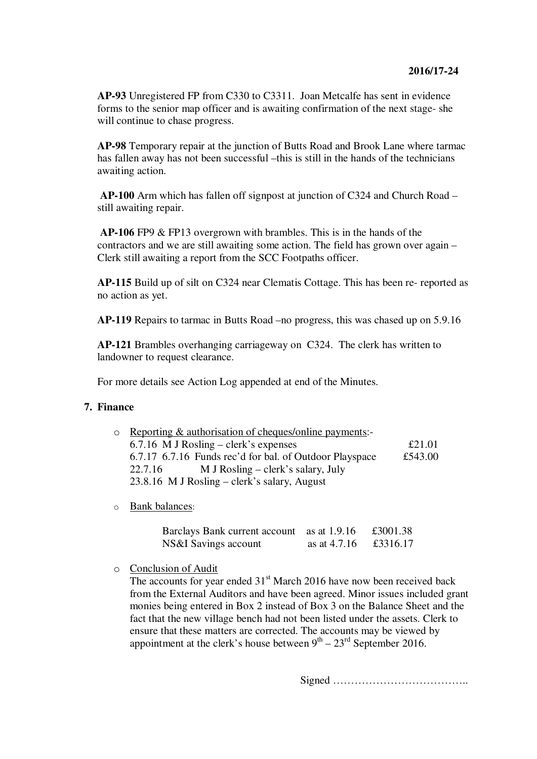**AP-93** Unregistered FP from C330 to C3311. Joan Metcalfe has sent in evidence forms to the senior map officer and is awaiting confirmation of the next stage- she will continue to chase progress.

**AP-98** Temporary repair at the junction of Butts Road and Brook Lane where tarmac has fallen away has not been successful –this is still in the hands of the technicians awaiting action.

**AP-100** Arm which has fallen off signpost at junction of C324 and Church Road – still awaiting repair.

**AP-106** FP9 & FP13 overgrown with brambles. This is in the hands of the contractors and we are still awaiting some action. The field has grown over again – Clerk still awaiting a report from the SCC Footpaths officer.

**AP-115** Build up of silt on C324 near Clematis Cottage. This has been re- reported as no action as yet.

**AP-119** Repairs to tarmac in Butts Road –no progress, this was chased up on 5.9.16

**AP-121** Brambles overhanging carriageway on C324. The clerk has written to landowner to request clearance.

For more details see Action Log appended at end of the Minutes.

### **7. Finance**

| $\circ$ Reporting & authorisation of cheques/online payments:- |         |
|----------------------------------------------------------------|---------|
| $6.7.16$ M J Rosling – clerk's expenses                        | £21.01  |
| 6.7.17 6.7.16 Funds rec'd for bal. of Outdoor Playspace        | £543.00 |
| 22.7.16<br>M J Rosling – clerk's salary, July                  |         |
| 23.8.16 M J Rosling – clerk's salary, August                   |         |

o Bank balances:

| Barclays Bank current account as at 1.9.16 |                | £3001.38 |
|--------------------------------------------|----------------|----------|
| NS&I Savings account                       | as at $4.7.16$ | £3316.17 |

o Conclusion of Audit

The accounts for year ended  $31<sup>st</sup>$  March 2016 have now been received back from the External Auditors and have been agreed. Minor issues included grant monies being entered in Box 2 instead of Box 3 on the Balance Sheet and the fact that the new village bench had not been listed under the assets. Clerk to ensure that these matters are corrected. The accounts may be viewed by appointment at the clerk's house between  $9<sup>th</sup> - 23<sup>rd</sup>$  September 2016.

Signed ………………………………..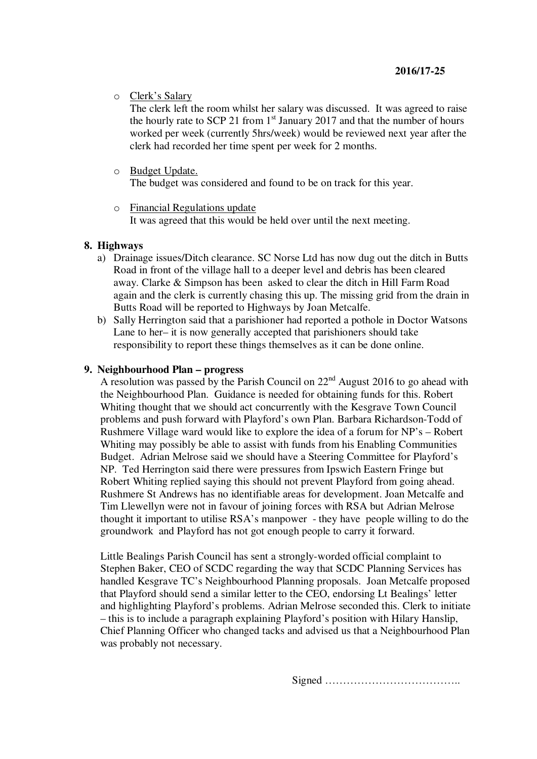o Clerk's Salary

The clerk left the room whilst her salary was discussed. It was agreed to raise the hourly rate to SCP 21 from  $1<sup>st</sup>$  January 2017 and that the number of hours worked per week (currently 5hrs/week) would be reviewed next year after the clerk had recorded her time spent per week for 2 months.

- o Budget Update. The budget was considered and found to be on track for this year.
- o Financial Regulations update It was agreed that this would be held over until the next meeting.

### **8. Highways**

- a) Drainage issues/Ditch clearance. SC Norse Ltd has now dug out the ditch in Butts Road in front of the village hall to a deeper level and debris has been cleared away. Clarke & Simpson has been asked to clear the ditch in Hill Farm Road again and the clerk is currently chasing this up. The missing grid from the drain in Butts Road will be reported to Highways by Joan Metcalfe.
- b) Sally Herrington said that a parishioner had reported a pothole in Doctor Watsons Lane to her– it is now generally accepted that parishioners should take responsibility to report these things themselves as it can be done online.

### **9. Neighbourhood Plan – progress**

A resolution was passed by the Parish Council on  $22<sup>nd</sup>$  August 2016 to go ahead with the Neighbourhood Plan. Guidance is needed for obtaining funds for this. Robert Whiting thought that we should act concurrently with the Kesgrave Town Council problems and push forward with Playford's own Plan. Barbara Richardson-Todd of Rushmere Village ward would like to explore the idea of a forum for NP's – Robert Whiting may possibly be able to assist with funds from his Enabling Communities Budget. Adrian Melrose said we should have a Steering Committee for Playford's NP. Ted Herrington said there were pressures from Ipswich Eastern Fringe but Robert Whiting replied saying this should not prevent Playford from going ahead. Rushmere St Andrews has no identifiable areas for development. Joan Metcalfe and Tim Llewellyn were not in favour of joining forces with RSA but Adrian Melrose thought it important to utilise RSA's manpower - they have people willing to do the groundwork and Playford has not got enough people to carry it forward.

Little Bealings Parish Council has sent a strongly-worded official complaint to Stephen Baker, CEO of SCDC regarding the way that SCDC Planning Services has handled Kesgrave TC's Neighbourhood Planning proposals. Joan Metcalfe proposed that Playford should send a similar letter to the CEO, endorsing Lt Bealings' letter and highlighting Playford's problems. Adrian Melrose seconded this. Clerk to initiate – this is to include a paragraph explaining Playford's position with Hilary Hanslip, Chief Planning Officer who changed tacks and advised us that a Neighbourhood Plan was probably not necessary.

Signed ………………………………..